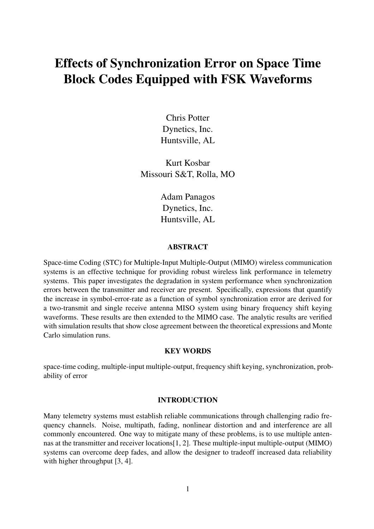# Effects of Synchronization Error on Space Time Block Codes Equipped with FSK Waveforms

Chris Potter Dynetics, Inc. Huntsville, AL

Kurt Kosbar Missouri S&T, Rolla, MO

> Adam Panagos Dynetics, Inc. Huntsville, AL

## ABSTRACT

Space-time Coding (STC) for Multiple-Input Multiple-Output (MIMO) wireless communication systems is an effective technique for providing robust wireless link performance in telemetry systems. This paper investigates the degradation in system performance when synchronization errors between the transmitter and receiver are present. Specifically, expressions that quantify the increase in symbol-error-rate as a function of symbol synchronization error are derived for a two-transmit and single receive antenna MISO system using binary frequency shift keying waveforms. These results are then extended to the MIMO case. The analytic results are verified with simulation results that show close agreement between the theoretical expressions and Monte Carlo simulation runs.

# KEY WORDS

space-time coding, multiple-input multiple-output, frequency shift keying, synchronization, probability of error

### INTRODUCTION

Many telemetry systems must establish reliable communications through challenging radio frequency channels. Noise, multipath, fading, nonlinear distortion and and interference are all commonly encountered. One way to mitigate many of these problems, is to use multiple antennas at the transmitter and receiver locations[1, 2]. These multiple-input multiple-output (MIMO) systems can overcome deep fades, and allow the designer to tradeoff increased data reliability with higher throughput [3, 4].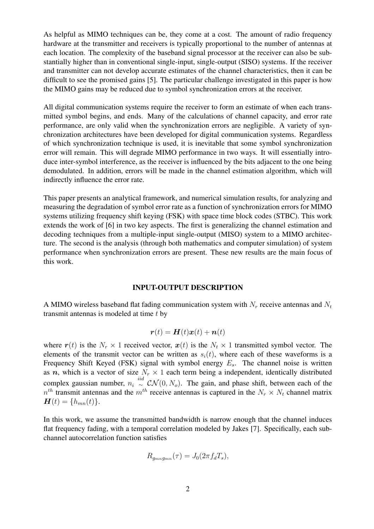As helpful as MIMO techniques can be, they come at a cost. The amount of radio frequency hardware at the transmitter and receivers is typically proportional to the number of antennas at each location. The complexity of the baseband signal processor at the receiver can also be substantially higher than in conventional single-input, single-output (SISO) systems. If the receiver and transmitter can not develop accurate estimates of the channel characteristics, then it can be difficult to see the promised gains [5]. The particular challenge investigated in this paper is how the MIMO gains may be reduced due to symbol synchronization errors at the receiver.

All digital communication systems require the receiver to form an estimate of when each transmitted symbol begins, and ends. Many of the calculations of channel capacity, and error rate performance, are only valid when the synchronization errors are negligible. A variety of synchronization architectures have been developed for digital communication systems. Regardless of which synchronization technique is used, it is inevitable that some symbol synchronization error will remain. This will degrade MIMO performance in two ways. It will essentially introduce inter-symbol interference, as the receiver is influenced by the bits adjacent to the one being demodulated. In addition, errors will be made in the channel estimation algorithm, which will indirectly influence the error rate.

This paper presents an analytical framework, and numerical simulation results, for analyzing and measuring the degradation of symbol error rate as a function of synchronization errors for MIMO systems utilizing frequency shift keying (FSK) with space time block codes (STBC). This work extends the work of [6] in two key aspects. The first is generalizing the channel estimation and decoding techniques from a multiple-input single-output (MISO) system to a MIMO architecture. The second is the analysis (through both mathematics and computer simulation) of system performance when synchronization errors are present. These new results are the main focus of this work.

# INPUT-OUTPUT DESCRIPTION

A MIMO wireless baseband flat fading communication system with  $N_r$  receive antennas and  $N_t$ transmit antennas is modeled at time  $t$  by

$$
\boldsymbol{r}(t) = \boldsymbol{H}(t)\boldsymbol{x}(t) + \boldsymbol{n}(t)
$$

where  $r(t)$  is the  $N_r \times 1$  received vector,  $x(t)$  is the  $N_t \times 1$  transmitted symbol vector. The elements of the transmit vector can be written as  $s_i(t)$ , where each of these waveforms is a Frequency Shift Keyed (FSK) signal with symbol energy  $E_s$ . The channel noise is written as n, which is a vector of size  $N_r \times 1$  each term being a independent, identically distributed complex gaussian number,  $n_i \stackrel{iid}{\sim} \mathcal{CN}(0, N_o)$ . The gain, and phase shift, between each of the  $n^{th}$  transmit antennas and the  $m^{th}$  receive antennas is captured in the  $N_r \times N_t$  channel matrix  $H(t) = \{h_{mn}(t)\}.$ 

In this work, we assume the transmitted bandwidth is narrow enough that the channel induces flat frequency fading, with a temporal correlation modeled by Jakes [7]. Specifically, each subchannel autocorrelation function satisfies

$$
R_{g_{mn}g_{mn}}(\tau) = J_0(2\pi f_d T_s),
$$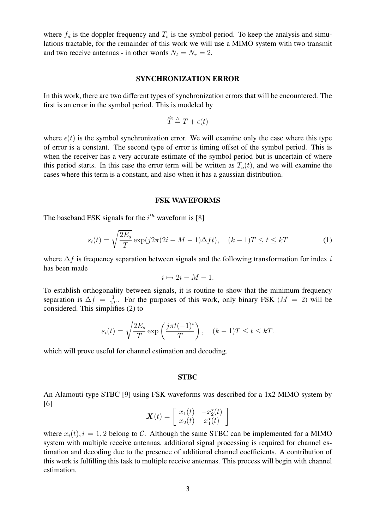where  $f_d$  is the doppler frequency and  $T_s$  is the symbol period. To keep the analysis and simulations tractable, for the remainder of this work we will use a MIMO system with two transmit and two receive antennas - in other words  $N_t = N_r = 2$ .

## SYNCHRONIZATION ERROR

In this work, there are two different types of synchronization errors that will be encountered. The first is an error in the symbol period. This is modeled by

$$
\widehat{T} \triangleq T + \epsilon(t)
$$

where  $\epsilon(t)$  is the symbol synchronization error. We will examine only the case where this type of error is a constant. The second type of error is timing offset of the symbol period. This is when the receiver has a very accurate estimate of the symbol period but is uncertain of where this period starts. In this case the error term will be written as  $T<sub>o</sub>(t)$ , and we will examine the cases where this term is a constant, and also when it has a gaussian distribution.

#### FSK WAVEFORMS

The baseband FSK signals for the  $i^{th}$  waveform is [8]

$$
s_i(t) = \sqrt{\frac{2E_s}{T}} \exp(j2\pi(2i - M - 1)\Delta ft), \quad (k-1)T \le t \le kT
$$
 (1)

where  $\Delta f$  is frequency separation between signals and the following transformation for index i has been made

$$
i \mapsto 2i - M - 1.
$$

To establish orthogonality between signals, it is routine to show that the minimum frequency separation is  $\Delta f = \frac{1}{27}$  $\frac{1}{2T}$ . For the purposes of this work, only binary FSK ( $M = 2$ ) will be considered. This simplifies (2) to

$$
s_i(t) = \sqrt{\frac{2E_s}{T}} \exp\left(\frac{j\pi t (-1)^i}{T}\right), \quad (k-1)T \le t \le kT.
$$

which will prove useful for channel estimation and decoding.

#### **STBC**

An Alamouti-type STBC [9] using FSK waveforms was described for a 1x2 MIMO system by [6]  $\overline{a}$ 

$$
\boldsymbol{X}(t) = \begin{bmatrix} x_1(t) & -x_2^{\star}(t) \\ x_2(t) & x_1^{\star}(t) \end{bmatrix}
$$

where  $x_i(t)$ ,  $i = 1, 2$  belong to C. Although the same STBC can be implemented for a MIMO system with multiple receive antennas, additional signal processing is required for channel estimation and decoding due to the presence of additional channel coefficients. A contribution of this work is fulfilling this task to multiple receive antennas. This process will begin with channel estimation.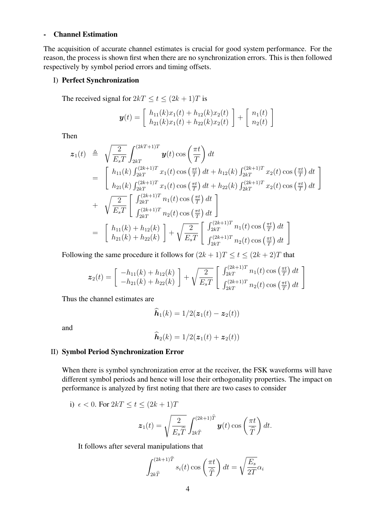# - Channel Estimation

The acquisition of accurate channel estimates is crucial for good system performance. For the reason, the process is shown first when there are no synchronization errors. This is then followed respectively by symbol period errors and timing offsets.

# I) Perfect Synchronization

The received signal for  $2kT \le t \le (2k+1)T$  is

$$
\boldsymbol{y}(t) = \begin{bmatrix} h_{11}(k)x_1(t) + h_{12}(k)x_2(t) \\ h_{21}(k)x_1(t) + h_{22}(k)x_2(t) \end{bmatrix} + \begin{bmatrix} n_1(t) \\ n_2(t) \end{bmatrix}
$$

Then

$$
\mathbf{z}_{1}(t) \triangleq \sqrt{\frac{2}{E_{s}T}} \int_{2kT}^{(2kT+1)T} \mathbf{y}(t) \cos\left(\frac{\pi t}{T}\right) dt
$$
\n
$$
= \begin{bmatrix} h_{11}(k) \int_{2kT}^{(2k+1)T} x_{1}(t) \cos\left(\frac{\pi t}{T}\right) dt + h_{12}(k) \int_{2kT}^{(2k+1)T} x_{2}(t) \cos\left(\frac{\pi t}{T}\right) dt \\ h_{21}(k) \int_{2kT}^{(2k+1)T} x_{1}(t) \cos\left(\frac{\pi t}{T}\right) dt + h_{22}(k) \int_{2kT}^{(2k+1)T} x_{2}(t) \cos\left(\frac{\pi t}{T}\right) dt \end{bmatrix}
$$
\n
$$
+ \sqrt{\frac{2}{E_{s}T}} \begin{bmatrix} \int_{2kT}^{(2k+1)T} n_{1}(t) \cos\left(\frac{\pi t}{T}\right) dt \\ \int_{2kT}^{(2k+1)T} n_{2}(t) \cos\left(\frac{\pi t}{T}\right) dt \end{bmatrix}
$$
\n
$$
= \begin{bmatrix} h_{11}(k) + h_{12}(k) \\ h_{21}(k) + h_{22}(k) \end{bmatrix} + \sqrt{\frac{2}{E_{s}T}} \begin{bmatrix} \int_{2kT}^{(2k+1)T} n_{1}(t) \cos\left(\frac{\pi t}{T}\right) dt \\ \int_{2kT}^{(2k+1)T} n_{2}(t) \cos\left(\frac{\pi t}{T}\right) dt \end{bmatrix}
$$

Following the same procedure it follows for  $(2k + 1)T \le t \le (2k + 2)T$  that

$$
\mathbf{z}_2(t) = \begin{bmatrix} -h_{11}(k) + h_{12}(k) \\ -h_{21}(k) + h_{22}(k) \end{bmatrix} + \sqrt{\frac{2}{E_sT}} \begin{bmatrix} \int_{2kT}^{(2k+1)T} n_1(t) \cos\left(\frac{\pi t}{T}\right) dt \\ \int_{2kT}^{(2k+1)T} n_2(t) \cos\left(\frac{\pi t}{T}\right) dt \end{bmatrix}
$$

Thus the channel estimates are

$$
\widehat{\boldsymbol{h}}_1(k)=1/2(\boldsymbol{z}_1(t)-\boldsymbol{z}_2(t))
$$

and

$$
\widehat{\boldsymbol{h}}_2(k)=1/2(\boldsymbol{z}_1(t)+\boldsymbol{z}_2(t))
$$

# II) Symbol Period Synchronization Error

When there is symbol synchronization error at the receiver, the FSK waveforms will have different symbol periods and hence will lose their orthogonality properties. The impact on performance is analyzed by first noting that there are two cases to consider

i)  $\epsilon < 0$ . For  $2kT \le t \le (2k+1)T$ 

$$
\boldsymbol{z}_1(t) = \sqrt{\frac{2}{E_s \widehat{T}}} \int_{2k\widehat{T}}^{(2k+1)\widehat{T}} \boldsymbol{y}(t) \cos\left(\frac{\pi t}{\widehat{T}}\right) dt.
$$

It follows after several manipulations that

$$
\int_{2k\hat{T}}^{(2k+1)\hat{T}} s_i(t) \cos\left(\frac{\pi t}{\hat{T}}\right) dt = \sqrt{\frac{E_s}{2T}} \alpha_i
$$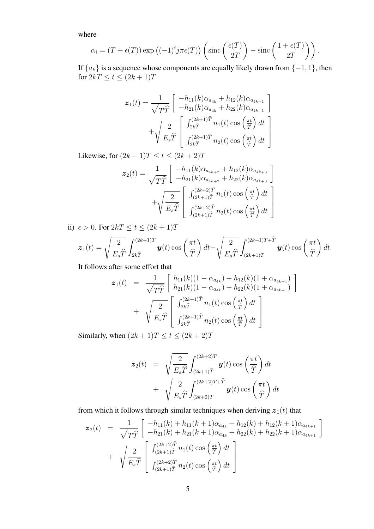where

$$
\alpha_i = (T + \epsilon(T)) \exp ((-1)^i j \pi \epsilon(T)) \left( \operatorname{sinc} \left( \frac{\epsilon(T)}{2T} \right) - \operatorname{sinc} \left( \frac{1 + \epsilon(T)}{2T} \right) \right).
$$

If  ${a_k}$  is a sequence whose components are equally likely drawn from  ${-1, 1}$ , then for  $2kT \le t \le (2k+1)T$ 

$$
\mathbf{z}_{1}(t) = \frac{1}{\sqrt{T\widehat{T}}} \begin{bmatrix} -h_{11}(k)\alpha_{a_{4k}} + h_{12}(k)\alpha_{a_{4k+1}} \\ -h_{21}(k)\alpha_{a_{4k}} + h_{22}(k)\alpha_{a_{4k+1}} \\ + \sqrt{\frac{2}{E_{s}\widehat{T}}} \begin{bmatrix} \int_{2k\widehat{T}}^{(2k+1)\widehat{T}} n_{1}(t)\cos\left(\frac{\pi t}{\widehat{T}}\right)dt \\ \int_{2k\widehat{T}}^{(2k+1)\widehat{T}} n_{2}(t)\cos\left(\frac{\pi t}{\widehat{T}}\right)dt \end{bmatrix}
$$

Likewise, for  $(2k + 1)T \le t \le (2k + 2)T$ 

$$
\mathbf{z}_{2}(t) = \frac{1}{\sqrt{T\hat{T}}} \begin{bmatrix} -h_{11}(k)\alpha_{a_{4k+2}} + h_{12}(k)\alpha_{a_{4k+3}} \\ -h_{21}(k)\alpha_{a_{4k+2}} + h_{22}(k)\alpha_{a_{4k+3}} \\ + \sqrt{\frac{2}{E_{s}\hat{T}}} \begin{bmatrix} \int_{(2k+1)\hat{T}}^{(2k+2)\hat{T}} n_{1}(t) \cos\left(\frac{\pi t}{\hat{T}}\right) dt \\ \int_{(2k+1)\hat{T}}^{(2k+2)\hat{T}} n_{2}(t) \cos\left(\frac{\pi t}{\hat{T}}\right) dt \end{bmatrix}
$$

ii)  $\epsilon > 0$ . For  $2kT \le t \le (2k+1)T$ 

$$
\boldsymbol{z}_1(t) = \sqrt{\frac{2}{E_s\widehat{T}}}\int_{2k\widehat{T}}^{(2k+1)T}\boldsymbol{y}(t)\cos\left(\frac{\pi t}{\widehat{T}}\right)dt + \sqrt{\frac{2}{E_s\widehat{T}}}\int_{(2k+1)T}^{(2k+1)T+\widehat{T}}\boldsymbol{y}(t)\cos\left(\frac{\pi t}{\widehat{T}}\right)dt.
$$

It follows after some effort that .<br>-

$$
\mathbf{z}_{1}(t) = \frac{1}{\sqrt{T\hat{T}}} \begin{bmatrix} h_{11}(k)(1 - \alpha_{a_{4k}}) + h_{12}(k)(1 + \alpha_{a_{4k+1}}) \\ h_{21}(k)(1 - \alpha_{a_{4k}}) + h_{22}(k)(1 + \alpha_{a_{4k+1}}) \end{bmatrix} + \sqrt{\frac{2}{E_{s}\hat{T}}} \begin{bmatrix} \int_{2k\hat{T}}^{(2k+1)\hat{T}} n_{1}(t) \cos\left(\frac{\pi t}{\hat{T}}\right) dt \\ \int_{2k\hat{T}}^{(2k+1)\hat{T}} n_{2}(t) \cos\left(\frac{\pi t}{\hat{T}}\right) dt \end{bmatrix}
$$

Similarly, when  $(2k + 1)T \le t \le (2k + 2)T$ 

$$
\mathbf{z}_2(t) = \sqrt{\frac{2}{E_s \widehat{T}}} \int_{(2k+1)\widehat{T}}^{(2k+2)T} \mathbf{y}(t) \cos\left(\frac{\pi t}{\widehat{T}}\right) dt + \sqrt{\frac{2}{E_s \widehat{T}}} \int_{(2k+2)T}^{(2k+2)T+\widehat{T}} \mathbf{y}(t) \cos\left(\frac{\pi t}{\widehat{T}}\right) dt
$$

from which it follows through similar techniques when deriving  $z_1(t)$  that

$$
\mathbf{z}_{2}(t) = \frac{1}{\sqrt{T\hat{T}}} \begin{bmatrix} -h_{11}(k) + h_{11}(k+1)\alpha_{a_{4k}} + h_{12}(k) + h_{12}(k+1)\alpha_{a_{4k+1}} \\ -h_{21}(k) + h_{21}(k+1)\alpha_{a_{4k}} + h_{22}(k) + h_{22}(k+1)\alpha_{a_{4k+1}} \end{bmatrix} + \sqrt{\frac{2}{E_{s}\hat{T}}} \begin{bmatrix} \int_{(2k+2)\hat{T}}^{(2k+2)\hat{T}} n_{1}(t) \cos\left(\frac{\pi t}{\hat{T}}\right) dt \\ \int_{(2k+1)\hat{T}}^{(2k+2)\hat{T}} n_{2}(t) \cos\left(\frac{\pi t}{\hat{T}}\right) dt \end{bmatrix}
$$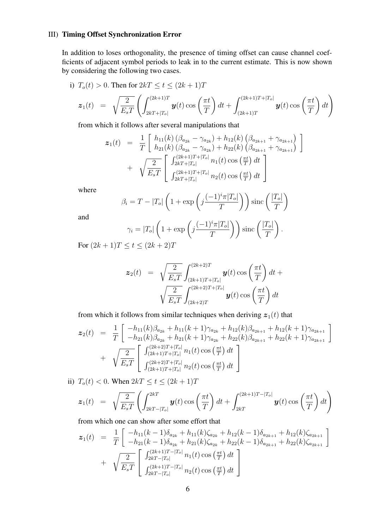# III) Timing Offset Synchronization Error

In addition to loses orthogonality, the presence of timing offset can cause channel coefficients of adjacent symbol periods to leak in to the current estimate. This is now shown by considering the following two cases.

i) 
$$
T_o(t) > 0
$$
. Then for  $2kT \le t \le (2k+1)T$ 

$$
\boldsymbol{z}_1(t) = \sqrt{\frac{2}{E_sT}} \left( \int_{2kT + |T_o|}^{(2k+1)T} \boldsymbol{y}(t) \cos\left(\frac{\pi t}{T}\right) dt + \int_{(2k+1)T}^{(2k+1)T + |T_o|} \boldsymbol{y}(t) \cos\left(\frac{\pi t}{T}\right) dt \right)
$$

from which it follows after several manipulations that

$$
\mathbf{z}_{1}(t) = \frac{1}{T} \begin{bmatrix} h_{11}(k) (\beta_{a_{2k}} - \gamma_{a_{2k}}) + h_{12}(k) (\beta_{a_{2k+1}} + \gamma_{a_{2k+1}}) \\ h_{21}(k) (\beta_{a_{2k}} - \gamma_{a_{2k}}) + h_{22}(k) (\beta_{a_{2k+1}} + \gamma_{a_{2k+1}}) \\ + \sqrt{\frac{2}{E_{s}T}} \begin{bmatrix} \int_{2kT+|T_{o}|}^{(2k+1)T+|T_{o}|} n_{1}(t) \cos(\frac{\pi t}{T}) dt \\ \int_{2kT+|T_{o}|}^{(2k+1)T+|T_{o}|} n_{2}(t) \cos(\frac{\pi t}{T}) dt \end{bmatrix}
$$

where

$$
\beta_i = T - |T_o| \left( 1 + \exp\left( j \frac{(-1)^i \pi |T_o|}{T} \right) \right) \operatorname{sinc}\left( \frac{|T_o|}{T} \right)
$$

and

$$
\gamma_i = |T_o| \left( 1 + \exp\left( j \frac{(-1)^i \pi |T_o|}{T} \right) \right) \operatorname{sinc}\left( \frac{|T_o|}{T} \right).
$$
  

$$
\leq t \leq (2k+2)T
$$

For  $(2k + 1)T \le t \le (2k + 2)$ 

$$
\mathbf{z}_2(t) = \sqrt{\frac{2}{E_s T}} \int_{(2k+1)T+|T_o|}^{(2k+2)T} \mathbf{y}(t) \cos\left(\frac{\pi t}{T}\right) dt + \sqrt{\frac{2}{E_s T}} \int_{(2k+2)T}^{(2k+2)T+|T_o|} \mathbf{y}(t) \cos\left(\frac{\pi t}{T}\right) dt
$$

from which it follows from similar techniques when deriving  $z_1(t)$  that

$$
\mathbf{z}_{2}(t) = \frac{1}{T} \begin{bmatrix} -h_{11}(k)\beta_{a_{2k}} + h_{11}(k+1)\gamma_{a_{2k}} + h_{12}(k)\beta_{a_{2k+1}} + h_{12}(k+1)\gamma_{a_{2k+1}} \\ -h_{21}(k)\beta_{a_{2k}} + h_{21}(k+1)\gamma_{a_{2k}} + h_{22}(k)\beta_{a_{2k+1}} + h_{22}(k+1)\gamma_{a_{2k+1}} \\ + \sqrt{\frac{2}{E_sT}} \begin{bmatrix} \int_{(2k+1)T+|T_o|}^{(2k+2)T+|T_o|} n_{1}(t) \cos\left(\frac{\pi t}{T}\right) dt \\ \int_{(2k+1)T+|T_o|}^{(2k+2)T+|T_o|} n_{2}(t) \cos\left(\frac{\pi t}{T}\right) dt \end{bmatrix}
$$

ii)  $T_o(t) < 0$ . When  $2kT \le t \le (2k+1)T$ 

$$
\boldsymbol{z}_1(t) = \sqrt{\frac{2}{E_sT}} \left( \int_{2kT - |T_o|}^{2kT} \boldsymbol{y}(t) \cos\left(\frac{\pi t}{T}\right) dt + \int_{2kT}^{(2k+1)T - |T_o|} \boldsymbol{y}(t) \cos\left(\frac{\pi t}{T}\right) dt \right)
$$

from which one can show after some effort that .<br>-

$$
z_{1}(t) = \frac{1}{T} \left[ \begin{array}{l} -h_{11}(k-1)\delta_{a_{2k}} + h_{11}(k)\zeta_{a_{2k}} + h_{12}(k-1)\delta_{a_{2k+1}} + h_{12}(k)\zeta_{a_{2k+1}} \\ -h_{21}(k-1)\delta_{a_{2k}} + h_{21}(k)\zeta_{a_{2k}} + h_{22}(k-1)\delta_{a_{2k+1}} + h_{22}(k)\zeta_{a_{2k+1}} \end{array} \right] + \sqrt{\frac{2}{E_{s}T}} \left[ \begin{array}{l} \int_{2kT-|T_{o}|}^{(2k+1)T-|T_{o}|} n_{1}(t) \cos\left(\frac{\pi t}{T}\right) dt \\ \int_{2kT-|T_{o}|}^{(2k+1)T-|T_{o}|} n_{2}(t) \cos\left(\frac{\pi t}{T}\right) dt \end{array} \right]
$$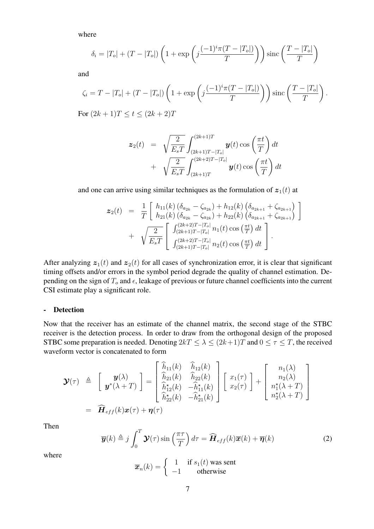where

$$
\delta_i = |T_o| + (T - |T_o|) \left( 1 + \exp\left( j \frac{(-1)^i \pi (T - |T_o|)}{T} \right) \right) \operatorname{sinc}\left( \frac{T - |T_o|}{T} \right)
$$

and

$$
\zeta_i = T - |T_o| + (T - |T_o|) \left( 1 + \exp\left( j \frac{(-1)^i \pi (T - |T_o|)}{T} \right) \right) \operatorname{sinc}\left( \frac{T - |T_o|}{T} \right).
$$
  
For  $(2k + 1)T \le t \le (2k + 2)T$ 

For  $(2k + 1)T \le t \le (2k + 2)T$ 

$$
\mathbf{z}_2(t) = \sqrt{\frac{2}{E_s T}} \int_{(2k+1)T - |T_o|}^{(2k+1)T} \mathbf{y}(t) \cos\left(\frac{\pi t}{T}\right) dt + \sqrt{\frac{2}{E_s T}} \int_{(2k+1)T}^{(2k+2)T - |T_o|} \mathbf{y}(t) \cos\left(\frac{\pi t}{T}\right) dt
$$

and one can arrive using similar techniques as the formulation of  $z_1(t)$  at

$$
z_2(t) = \frac{1}{T} \begin{bmatrix} h_{11}(k) (\delta_{a_{2k}} - \zeta_{a_{2k}}) + h_{12}(k) (\delta_{a_{2k+1}} + \zeta_{a_{2k+1}}) \\ h_{21}(k) (\delta_{a_{2k}} - \zeta_{a_{2k}}) + h_{22}(k) (\delta_{a_{2k+1}} + \zeta_{a_{2k+1}}) \\ + \sqrt{\frac{2}{E_sT}} \begin{bmatrix} \int_{(2k+1)T - |T_o|}^{(2k+2)T - |T_o|} n_1(t) \cos(\frac{\pi t}{T}) dt \\ \int_{(2k+1)T - |T_o|}^{(2k+2)T - |T_o|} n_2(t) \cos(\frac{\pi t}{T}) dt \end{bmatrix}.
$$

After analyzing  $z_1(t)$  and  $z_2(t)$  for all cases of synchronization error, it is clear that significant timing offsets and/or errors in the symbol period degrade the quality of channel estimation. Depending on the sign of  $T_o$  and  $\epsilon$ , leakage of previous or future channel coefficients into the current CSI estimate play a significant role.

# - Detection

Now that the receiver has an estimate of the channel matrix, the second stage of the STBC receiver is the detection process. In order to draw from the orthogonal design of the proposed STBC some preparation is needed. Denoting  $2kT \leq \lambda \leq (2k+1)T$  and  $0 \leq \tau \leq T$ , the received waveform vector is concatenated to form

$$
\mathbf{\mathcal{Y}}(\tau) \triangleq \begin{bmatrix} \mathbf{y}(\lambda) \\ \mathbf{y}^*(\lambda+T) \end{bmatrix} = \begin{bmatrix} \widehat{h}_{11}(k) & \widehat{h}_{12}(k) \\ \widehat{h}_{21}(k) & \widehat{h}_{22}(k) \\ \widehat{h}_{12}^*(k) & -\widehat{h}_{11}^*(k) \\ \widehat{h}_{22}^*(k) & -\widehat{h}_{21}^*(k) \end{bmatrix} \begin{bmatrix} x_1(\tau) \\ x_2(\tau) \end{bmatrix} + \begin{bmatrix} n_1(\lambda) \\ n_2(\lambda) \\ n_1^*(\lambda+T) \\ n_2^*(\lambda+T) \end{bmatrix}
$$

$$
= \widehat{\mathbf{H}}_{eff}(k)\mathbf{x}(\tau) + \mathbf{\eta}(\tau)
$$

Then

$$
\overline{\boldsymbol{y}}(k) \triangleq j \int_0^T \boldsymbol{\mathcal{Y}}(\tau) \sin\left(\frac{\pi\tau}{T}\right) d\tau = \widehat{\boldsymbol{H}}_{eff}(k)\overline{\boldsymbol{x}}(k) + \overline{\boldsymbol{\eta}}(k)
$$
(2)

where

$$
\overline{x}_n(k) = \begin{cases} 1 & \text{if } s_1(t) \text{ was sent} \\ -1 & \text{otherwise} \end{cases}
$$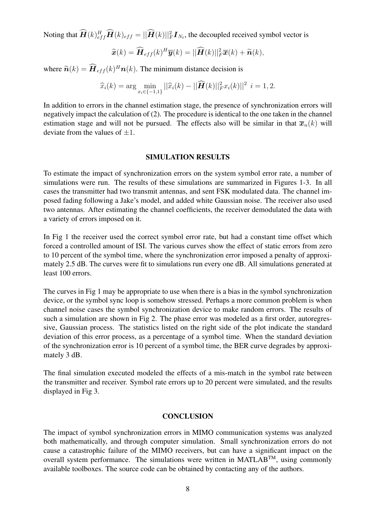Noting that  $\widehat{\bm{H}}(k)_{eff}^H\widehat{\bm{H}}(k)_{eff} = ||\widehat{\bm{H}}(k)||_F^2\bm{I}_{N_t},$  the decoupled received symbol vector is

$$
\widehat{\boldsymbol{x}}(k) = \widehat{\boldsymbol{H}}_{eff}(k)^H \overline{\boldsymbol{y}}(k) = ||\widehat{\boldsymbol{H}}(k)||^2_F \overline{\boldsymbol{x}}(k) + \widetilde{\boldsymbol{n}}(k),
$$

where  $\widetilde{\boldsymbol{n}}(k) = \widehat{\boldsymbol{H}}_{eff}(k)^H \boldsymbol{n}(k)$ . The minimum distance decision is

$$
\widehat{x}_i(k) = \arg \min_{x_i \in \{-1,1\}} ||\widehat{x}_i(k) - ||\widehat{H}(k)||^2_{F} x_i(k)||^2 \ \ i = 1, 2.
$$

In addition to errors in the channel estimation stage, the presence of synchronization errors will negatively impact the calculation of (2). The procedure is identical to the one taken in the channel estimation stage and will not be pursued. The effects also will be similar in that  $\bar{x}_n(k)$  will deviate from the values of  $\pm 1$ .

## SIMULATION RESULTS

To estimate the impact of synchronization errors on the system symbol error rate, a number of simulations were run. The results of these simulations are summarized in Figures 1-3. In all cases the transmitter had two transmit antennas, and sent FSK modulated data. The channel imposed fading following a Jake's model, and added white Gaussian noise. The receiver also used two antennas. After estimating the channel coefficients, the receiver demodulated the data with a variety of errors imposed on it.

In Fig 1 the receiver used the correct symbol error rate, but had a constant time offset which forced a controlled amount of ISI. The various curves show the effect of static errors from zero to 10 percent of the symbol time, where the synchronization error imposed a penalty of approximately 2.5 dB. The curves were fit to simulations run every one dB. All simulations generated at least 100 errors.

The curves in Fig 1 may be appropriate to use when there is a bias in the symbol synchronization device, or the symbol sync loop is somehow stressed. Perhaps a more common problem is when channel noise cases the symbol synchronization device to make random errors. The results of such a simulation are shown in Fig 2. The phase error was modeled as a first order, autoregressive, Gaussian process. The statistics listed on the right side of the plot indicate the standard deviation of this error process, as a percentage of a symbol time. When the standard deviation of the synchronization error is 10 percent of a symbol time, the BER curve degrades by approximately 3 dB.

The final simulation executed modeled the effects of a mis-match in the symbol rate between the transmitter and receiver. Symbol rate errors up to 20 percent were simulated, and the results displayed in Fig 3.

# **CONCLUSION**

The impact of symbol synchronization errors in MIMO communication systems was analyzed both mathematically, and through computer simulation. Small synchronization errors do not cause a catastrophic failure of the MIMO receivers, but can have a significant impact on the overall system performance. The simulations were written in MATLAB<sup>TM</sup>, using commonly available toolboxes. The source code can be obtained by contacting any of the authors.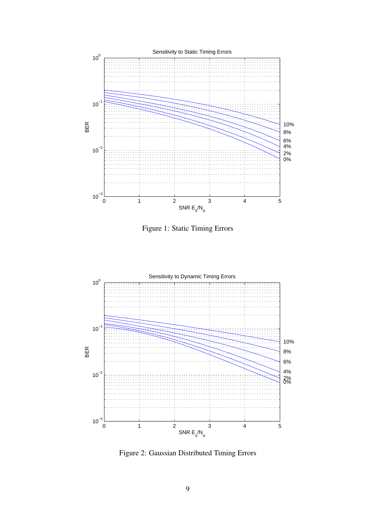

Figure 1: Static Timing Errors



Figure 2: Gaussian Distributed Timing Errors